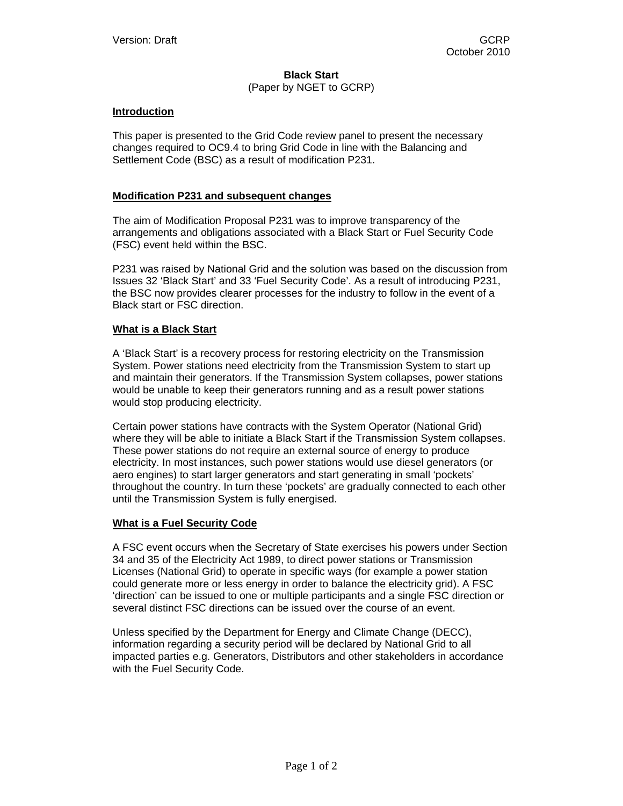# **Black Start**

## (Paper by NGET to GCRP)

## **Introduction**

This paper is presented to the Grid Code review panel to present the necessary changes required to OC9.4 to bring Grid Code in line with the Balancing and Settlement Code (BSC) as a result of modification P231.

## **Modification P231 and subsequent changes**

The aim of Modification Proposal P231 was to improve transparency of the arrangements and obligations associated with a Black Start or Fuel Security Code (FSC) event held within the BSC.

P231 was raised by National Grid and the solution was based on the discussion from Issues 32 'Black Start' and 33 'Fuel Security Code'. As a result of introducing P231, the BSC now provides clearer processes for the industry to follow in the event of a Black start or FSC direction.

#### **What is a Black Start**

A 'Black Start' is a recovery process for restoring electricity on the Transmission System. Power stations need electricity from the Transmission System to start up and maintain their generators. If the Transmission System collapses, power stations would be unable to keep their generators running and as a result power stations would stop producing electricity.

Certain power stations have contracts with the System Operator (National Grid) where they will be able to initiate a Black Start if the Transmission System collapses. These power stations do not require an external source of energy to produce electricity. In most instances, such power stations would use diesel generators (or aero engines) to start larger generators and start generating in small 'pockets' throughout the country. In turn these 'pockets' are gradually connected to each other until the Transmission System is fully energised.

## **What is a Fuel Security Code**

A FSC event occurs when the Secretary of State exercises his powers under Section 34 and 35 of the Electricity Act 1989, to direct power stations or Transmission Licenses (National Grid) to operate in specific ways (for example a power station could generate more or less energy in order to balance the electricity grid). A FSC 'direction' can be issued to one or multiple participants and a single FSC direction or several distinct FSC directions can be issued over the course of an event.

Unless specified by the Department for Energy and Climate Change (DECC), information regarding a security period will be declared by National Grid to all impacted parties e.g. Generators, Distributors and other stakeholders in accordance with the Fuel Security Code.